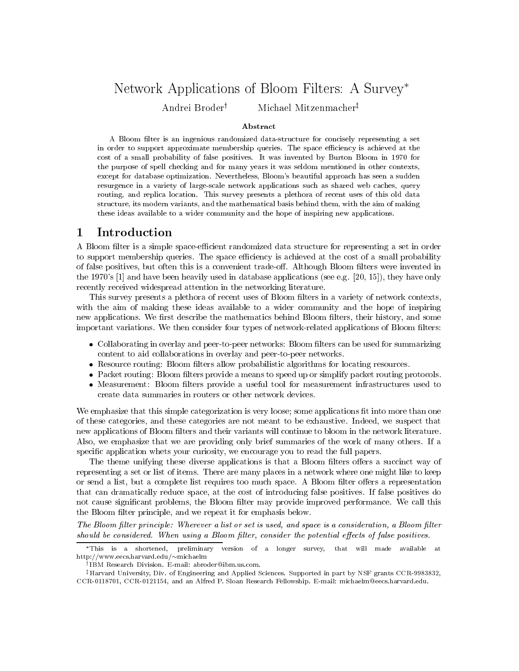# Network Applications of Bloom Filters: A Survey

Andrei Broder<sup>†</sup> Michael Mitzenmacher<sup>‡</sup>

### Abstract

A Bloom filter is an ingenious randomized data-structure for concisely representing a set in order to support approximate membership queries. The space efficiency is achieved at the cost of a small probability of false positives. It was invented by Burton Bloom in 1970 for the purpose of spell checking and for many years it was seldom mentioned in other contexts, except for database optimization. Nevertheless, Bloom's beautiful approach has seen a sudden resurgence in a variety of large-scale network applications such as shared web caches, query routing, and replica location. This survey presents a plethora of recent uses of this old data structure, its modern variants, and the mathematical basis behind them, with the aim of making these ideas available to a wider community and the hope of inspiring new applications.

## 1 Introduction

A Bloom filter is a simple space-efficient randomized data structure for representing a set in order to support membership queries. The space efficiency is achieved at the cost of a small probability of false positives, but often this is a convenient trade-off. Although Bloom filters were invented in the 1970's [1] and have been heavily used in database applications (see e.g. [20, 15]), they have only recently received widespread attention in the networking literature.

This survey presents a plethora of recent uses of Bloom filters in a variety of network contexts, with the aim of making these ideas available to a wider community and the hope of inspiring new applications. We first describe the mathematics behind Bloom filters, their history, and some important variations. We then consider four types of network-related applications of Bloom filters:

- $\bullet$  -Collaborating in overlay and peer-to-peer networks: Bloom filters can be used for summarizing content to aid collaborations in overlay and peer-to-peer networks.
- $\bullet\,$  Resource routing: Bloom filters allow probabilistic algorithms for locating resources.
- $\bullet$  -Packet routing: Bloom filters provide a means to speed up or simplify packet routing protocols.
- $\bullet$  Measurement: Bloom filters provide a useful tool for measurement infrastructures used to create data summaries in routers or other network devices.

We emphasize that this simple categorization is very loose; some applications fit into more than one of these categories, and these categories are not meant to be exhaustive. Indeed, we suspect that new applications of Bloom filters and their variants will continue to bloom in the network literature. Also, we emphasize that we are providing only brief summaries of the work of many others. If a specic application whets your curiosity, we encourage you to read the full papers.

The theme unifying these diverse applications is that a Bloom filters offers a succinct way of representing a set or list of items. There are many places in a network where one might like to keep or send a list, but a complete list requires too much space. A Bloom filter offers a representation that can dramatically reduce space, at the cost of introducing false positives. If false positives do not cause significant problems, the Bloom filter may provide improved performance. We call this the Bloom filter principle, and we repeat it for emphasis below.

The Bloom filter principle: Wherever a list or set is used, and space is a consideration, a Bloom filter should be considered. When using a Bloom filter, consider the potential effects of false positives.

This is a shortened, preliminary version of a longer survey, that will made available at http://www.eecs.harvard.edu/ $\sim$ michaelm

<sup>y</sup> IBM Research Division. E-mail: abroder@ibm.us.com.

<sup>#</sup>Harvard University, Div. of Engineering and Applied Sciences. Supported in part by NSF grants CCR-9983832, CCR-0118701, CCR-0121154, and an Alfred P. Sloan Research Fellowship. E-mail: michaelm@eecs.harvard.edu.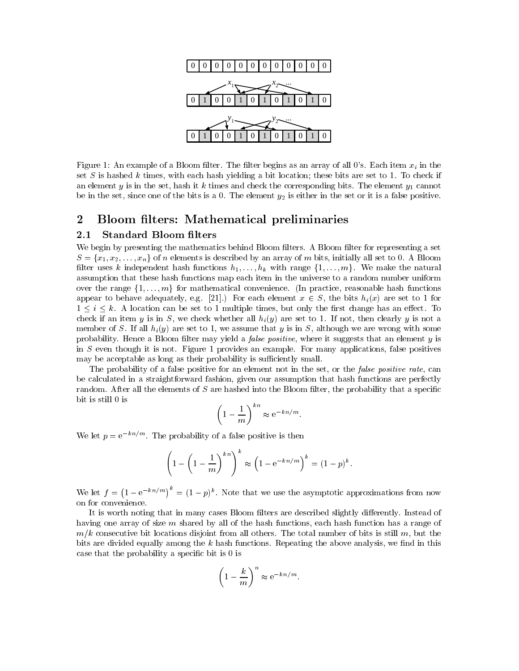

Figure 1: An example of a Bloom filter. The filter begins as an array of all 0's. Each item  $x_i$  in the set S is hashed k times, with each hash yielding a bit location; these bits are set to 1. To check if an element y is in the set, hash it k times and check the corresponding bits. The element  $y_1$  cannot be in the set, since one of the bits is a 0. The element  $y_2$  is either in the set or it is a false positive.

# 2 Bloom filters: Mathematical preliminaries

#### $2.1$ Standard Bloom filters

We begin by presenting the mathematics behind Bloom filters. A Bloom filter for representing a set  $S = \{x_1, x_2, \ldots, x_n\}$  of n elements is described by an array of m bits, initially all set to 0. A Bloom filter uses k independent hash functions  $h_1,\ldots,h_k$  with range  $\{1,\ldots,m\}$ . We make the natural assumption that these hash functions map each item in the universe to a random number uniform over the range  $\{1,\ldots,m\}$  for mathematical convenience. (In practice, reasonable hash functions appear to behave adequately, e.g. [21].) For each element  $x \in S$ , the bits  $h_i(x)$  are set to 1 for  $1 \leq i \leq k$ . A location can be set to 1 multiple times, but only the first change has an effect. To check if an item y is in S, we check whether all  $h_i(y)$  are set to 1. If not, then clearly y is not a member of S. If all  $h_i(y)$  are set to 1, we assume that y is in S, although we are wrong with some probability. Hence a Bloom filter may yield a *false positive*, where it suggests that an element y is in  $S$  even though it is not. Figure 1 provides an example. For many applications, false positives may be acceptable as long as their probability is sufficiently small.

The probability of a false positive for an element not in the set, or the *false positive rate*, can be calculated in a straightforward fashion, given our assumption that hash functions are perfectly random. After all the elements of  $S$  are hashed into the Bloom filter, the probability that a specific bit is still 0 is

$$
\left(1 - \frac{1}{m}\right)^{kn} \approx e^{-kn/m}.
$$

We let  $p = e^{-kn/m}$ . The probability of a false positive is then

$$
\left(1-\left(1-\frac{1}{m}\right)^{kn}\right)^k \approx \left(1-\mathrm{e}^{-kn/m}\right)^k = (1-p)^k.
$$

We let  $f = (1 - e^{-kn/m})^n = (1 - p)^k$ . Note that we use the asymptotic approximations from now on for convenience.

It is worth noting that in many cases Bloom filters are described slightly differently. Instead of having one array of size m shared by all of the hash functions, each hash function has a range of  $m/k$  consecutive bit locations disjoint from all others. The total number of bits is still m, but the bits are divided equally among the k hash functions. Repeating the above analysis, we find in this case that the probability a specic bit is 0 is

$$
\left(1 - \frac{k}{m}\right)^n \approx e^{-kn/m}.
$$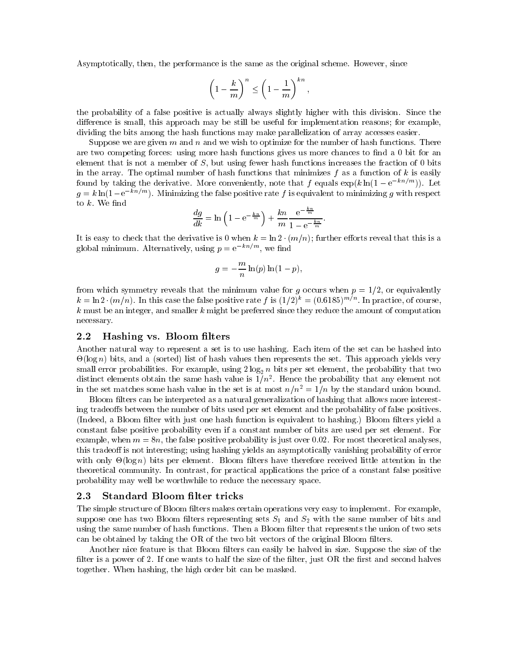Asymptotically, then, the performance is the same as the original scheme. However, since

$$
\left(1-\frac{k}{m}\right)^n \le \left(1-\frac{1}{m}\right)^{kn},
$$

the probability of a false positive is actually always slightly higher with this division. Since the difference is small, this approach may be still be useful for implementation reasons; for example, dividing the bits among the hash functions may make parallelization of array accesses easier.

Suppose we are given m and n and we wish to optimize for the number of hash functions. There are two competing forces: using more hash functions gives us more chances to find a 0 bit for an element that is not a member of  $S$ , but using fewer hash functions increases the fraction of 0 bits in the array. The optimal number of hash functions that minimizes  $f$  as a function of  $k$  is easily found by taking the derivative. More conveniently, note that f equals  $\exp(k \ln(1 - e^{-kn/m}))$ . Let  $g = k \ln(1-e^{-kn/m})$ . Minimizing the false positive rate f is equivalent to minimizing g with respect to  $k$ . We find

$$
\frac{dg}{dk} = \ln\left(1 - e^{-\frac{kn}{m}}\right) + \frac{kn}{m} \frac{e^{-\frac{kn}{m}}}{1 - e^{-\frac{kn}{m}}}.
$$

It is easy to check that the derivative is 0 when  $k = \ln 2 \cdot (m/n)$ ; further efforts reveal that this is a global minimum. Alternatively, using  $p = e^{-kn/m}$ , we find

$$
g = -\frac{m}{n}\ln(p)\ln(1-p),
$$

from which symmetry reveals that the minimum value for q occurs when  $p = 1/2$ , or equivalently  $\kappa = \ln 2 \cdot (m/n)$ . In this case the false positive rate f is (1/2) = (0.0189)  $^{\prime}$  . In practice, of course,  $k$  must be an integer, and smaller k might be preferred since they reduce the amount of computation necessary.

### 2.2 Hashing vs. Bloom filters

Another natural way to represent a set is to use hashing. Each item of the set can be hashed into -(log n) bits, and a (sorted) list of hash values then represents the set. This approach yields very small error probabilities. For example, using  $2 \log_2 n$  bits per set element, the probability that two distinct elements obtain the same hash value is  $1/n^2$ . Hence the probability that any element not in the set matches some hash value in the set is at most  $n/n^2 = 1/n$  by the standard union bound.

Bloom filters can be interpreted as a natural generalization of hashing that allows more interesting tradeoffs between the number of bits used per set element and the probability of false positives. (Indeed, a Bloom filter with just one hash function is equivalent to hashing.) Bloom filters yield a constant false positive probability even if a constant number of bits are used per set element. For example, when  $m = 8n$ , the false positive probability is just over 0.02. For most theoretical analyses, this tradeoff is not interesting; using hashing yields an asymptotically vanishing probability of error  $\mathcal{L}$  bits per element. Bloom lters have the little attention in the ceiver received little attention in the ceive theoretical community. In contrast, for practical applications the price of a constant false positive probability may well be worthwhile to reduce the necessary space.

#### 2.3 Standard Bloom filter tricks

The simple structure of Bloom filters makes certain operations very easy to implement. For example, suppose one has two Bloom filters representing sets  $S_1$  and  $S_2$  with the same number of bits and using the same number of hash functions. Then a Bloom filter that represents the union of two sets can be obtained by taking the OR of the two bit vectors of the original Bloom filters.

Another nice feature is that Bloom filters can easily be halved in size. Suppose the size of the filter is a power of 2. If one wants to half the size of the filter, just OR the first and second halves together. When hashing, the high order bit can be masked.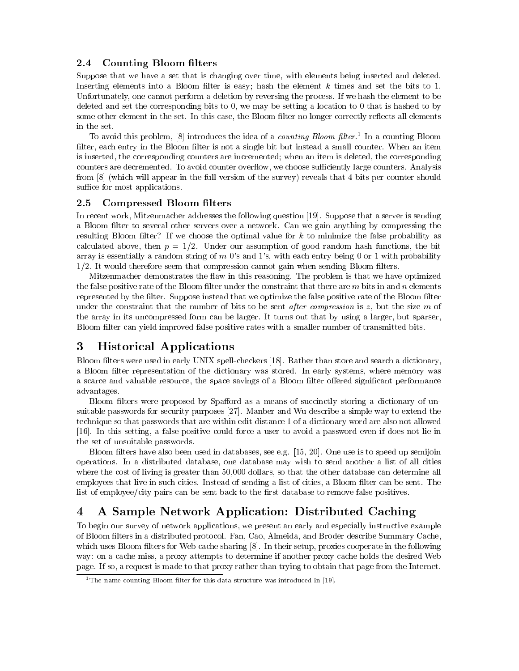## 2.4 Counting Bloom filters

Suppose that we have a set that is changing over time, with elements being inserted and deleted. Inserting elements into a Bloom filter is easy; hash the element  $k$  times and set the bits to 1. Unfortunately, one cannot perform a deletion by reversing the process. If we hash the element to be deleted and set the corresponding bits to 0, we may be setting a location to 0 that is hashed to by some other element in the set. In this case, the Bloom filter no longer correctly reflects all elements in the set.

To avoid this problem, [8] introduces the idea of a *counting Bloom filter*. In a counting Bloom filter, each entry in the Bloom filter is not a single bit but instead a small counter. When an item is inserted, the corresponding counters are incremented; when an item is deleted, the corresponding counters are decremented. To avoid counter overflow, we choose sufficiently large counters. Analysis from [8] (which will appear in the full version of the survey) reveals that 4 bits per counter should suffice for most applications.

### 2.5 Compressed Bloom filters

In recent work, Mitzenmacher addresses the following question [19]. Suppose that a server is sending a Bloom filter to several other servers over a network. Can we gain anything by compressing the resulting Bloom filter? If we choose the optimal value for  $k$  to minimize the false probability as calculated above, then  $p = 1/2$ . Under our assumption of good random hash functions, the bit array is essentially a random string of  $m$  0's and 1's, with each entry being 0 or 1 with probability  $1/2$ . It would therefore seem that compression cannot gain when sending Bloom filters.

Mitzenmacher demonstrates the flaw in this reasoning. The problem is that we have optimized the false positive rate of the Bloom filter under the constraint that there are  $m$  bits in and  $n$  elements represented by the filter. Suppose instead that we optimize the false positive rate of the Bloom filter under the constraint that the number of bits to be sent *after compression* is  $z$ , but the size  $m$  of the array in its uncompressed form can be larger. It turns out that by using a larger, but sparser, Bloom filter can yield improved false positive rates with a smaller number of transmitted bits.

### **Historical Applications** 3

Bloom filters were used in early UNIX spell-checkers [18]. Rather than store and search a dictionary, a Bloom filter representation of the dictionary was stored. In early systems, where memory was a scarce and valuable resource, the space savings of a Bloom filter offered significant performance advantages.

Bloom filters were proposed by Spafford as a means of succinctly storing a dictionary of unsuitable passwords for security purposes [27]. Manber and Wu describe a simple way to extend the technique so that passwords that are within edit distance 1 of a dictionary word are also not allowed [16]. In this setting, a false positive could force a user to avoid a password even if does not lie in the set of unsuitable passwords.

Bloom filters have also been used in databases, see e.g. [15, 20]. One use is to speed up semijoin operations. In a distributed database, one database may wish to send another a list of all cities where the cost of living is greater than 50,000 dollars, so that the other database can determine all employees that live in such cities. Instead of sending a list of cities, a Bloom filter can be sent. The list of employee/city pairs can be sent back to the first database to remove false positives.

# 4 A Sample Network Application: Distributed Caching

To begin our survey of network applications, we present an early and especially instructive example of Bloom filters in a distributed protocol. Fan, Cao, Almeida, and Broder describe Summary Cache, which uses Bloom filters for Web cache sharing [8]. In their setup, proxies cooperate in the following way: on a cache miss, a proxy attempts to determine if another proxy cache holds the desired Web page. If so, a request is made to that proxy rather than trying to obtain that page from the Internet.

 $\overline{1}$ The name counting Bloom filter for this data structure was introduced in [19].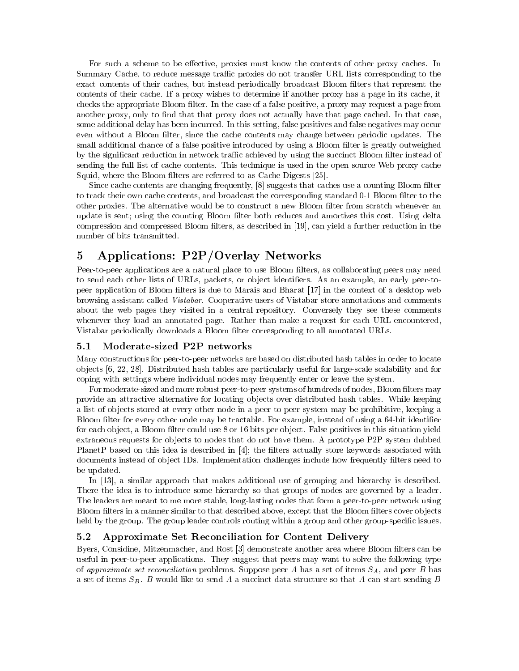For such a scheme to be effective, proxies must know the contents of other proxy caches. In Summary Cache, to reduce message traffic proxies do not transfer URL lists corresponding to the exact contents of their caches, but instead periodically broadcast Bloom filters that represent the contents of their cache. If a proxy wishes to determine if another proxy has a page in its cache, it checks the appropriate Bloom filter. In the case of a false positive, a proxy may request a page from another proxy, only to find that that proxy does not actually have that page cached. In that case, some additional delay has been incurred. In this setting, false positives and false negatives may occur even without a Bloom filter, since the cache contents may change between periodic updates. The small additional chance of a false positive introduced by using a Bloom filter is greatly outweighed by the significant reduction in network traffic achieved by using the succinct Bloom filter instead of sending the full list of cache contents. This technique is used in the open source Web proxy cache Squid, where the Bloom filters are referred to as Cache Digests [25].

Since cache contents are changing frequently, [8] suggests that caches use a counting Bloom filter to track their own cache contents, and broadcast the corresponding standard 0-1 Bloom filter to the other proxies. The alternative would be to construct a new Bloom filter from scratch whenever an update is sent; using the counting Bloom filter both reduces and amortizes this cost. Using delta compression and compressed Bloom filters, as described in [19], can yield a further reduction in the number of bits transmitted.

# 5 Applications: P2P/Overlay Networks

Peer-to-peer applications are a natural place to use Bloom filters, as collaborating peers may need to send each other lists of URLs, packets, or object identifiers. As an example, an early peer-topeer application of Bloom filters is due to Marais and Bharat [17] in the context of a desktop web browsing assistant called Vistabar. Cooperative users of Vistabar store annotations and comments about the web pages they visited in a central repository. Conversely they see these comments whenever they load an annotated page. Rather than make a request for each URL encountered, Vistabar periodically downloads a Bloom lter corresponding to all annotated URLs.

### $5.1$ Moderate-sized P2P networks

Many constructions for peer-to-peer networks are based on distributed hash tables in order to locate ob jects [6, 22, 28]. Distributed hash tables are particularly useful for large-scale scalability and for coping with settings where individual nodes may frequently enter or leave the system.

For moderate-sized and more robust peer-to-peer systems of hundreds of nodes, Bloom filters may provide an attractive alternative for locating ob jects over distributed hash tables. While keeping a list of ob jects stored at every other node in a peer-to-peer system may be prohibitive, keeping a Bloom filter for every other node may be tractable. For example, instead of using a 64-bit identifier for each object, a Bloom filter could use 8 or 16 bits per object. False positives in this situation yield extraneous requests for objects to nodes that do not have them. A prototype P2P system dubbed PlanetP based on this idea is described in  $[4]$ ; the filters actually store keywords associated with documents instead of object IDs. Implementation challenges include how frequently filters need to be updated.

In [13], a similar approach that makes additional use of grouping and hierarchy is described. There the idea is to introduce some hierarchy so that groups of nodes are governed by a leader. The leaders are meant to me more stable, long-lasting nodes that form a peer-to-peer network using Bloom filters in a manner similar to that described above, except that the Bloom filters cover objects held by the group. The group leader controls routing within a group and other group-specific issues.

# 5.2 Approximate Set Reconciliation for Content Delivery

Byers, Considine, Mitzenmacher, and Rost [3] demonstrate another area where Bloom filters can be useful in peer-to-peer applications. They suggest that peers may want to solve the following type of approximate set reconciliation problems. Suppose peer A has a set of items  $S_A$ , and peer B has a set of items  $S_B$ . B would like to send A a succinct data structure so that A can start sending B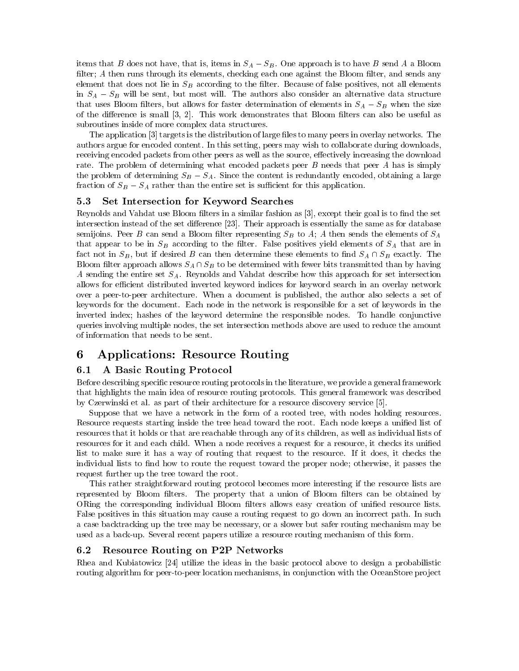items that B does not have, that is, items in  $S_A - S_B$ . One approach is to have B send A a Bloom filter;  $A$  then runs through its elements, checking each one against the Bloom filter, and sends any element that does not lie in  $S_B$  according to the filter. Because of false positives, not all elements in  $S_A - S_B$  will be sent, but most will. The authors also consider an alternative data structure that uses Bloom filters, but allows for faster determination of elements in  $S_A - S_B$  when the size of the difference is small  $[3, 2]$ . This work demonstrates that Bloom filters can also be useful as subroutines inside of more complex data structures.

The application [3] targets is the distribution of large files to many peers in overlay networks. The authors argue for encoded content. In this setting, peers may wish to collaborate during downloads, receiving encoded packets from other peers as well as the source, effectively increasing the download rate. The problem of determining what encoded packets peer B needs that peer A has is simply the problem of determining  $S_B - S_A$ . Since the content is redundantly encoded, obtaining a large fraction of  $S_B - S_A$  rather than the entire set is sufficient for this application.

### 5.3 Set Intersection for Keyword Searches

Reynolds and Vahdat use Bloom filters in a similar fashion as [3], except their goal is to find the set intersection instead of the set difference [23]. Their approach is essentially the same as for database semijoins. Peer B can send a Bloom filter representing  $S_B$  to A; A then sends the elements of  $S_A$ that appear to be in  $S_B$  according to the filter. False positives yield elements of  $S_A$  that are in fact not in  $S_B$ , but if desired B can then determine these elements to find  $S_A \cap S_B$  exactly. The Bloom filter approach allows  $S_A \cap S_B$  to be determined with fewer bits transmitted than by having A sending the entire set  $S_A$ . Reynolds and Vahdat describe how this approach for set intersection allows for efficient distributed inverted keyword indices for keyword search in an overlay network over a peer-to-peer architecture. When a document is published, the author also selects a set of keywords for the document. Each node in the network is responsible for a set of keywords in the inverted index; hashes of the keyword determine the responsible nodes. To handle conjunctive queries involving multiple nodes, the set intersection methods above are used to reduce the amount of information that needs to be sent.

# 6 Applications: Resource Routing

## 6.1 A Basic Routing Protocol

Before describing specic resource routing protocols in the literature, we provide a general framework that highlights the main idea of resource routing protocols. This general framework was described by Czerwinski et al. as part of their architecture for a resource discovery service [5].

Suppose that we have a network in the form of a rooted tree, with nodes holding resources. Resource requests starting inside the tree head toward the root. Each node keeps a unified list of resources that it holds or that are reachable through any of its children, as well as individual lists of resources for it and each child. When a node receives a request for a resource, it checks its unied list to make sure it has a way of routing that request to the resource. If it does, it checks the individual lists to find how to route the request toward the proper node; otherwise, it passes the request further up the tree toward the root.

This rather straightforward routing protocol becomes more interesting if the resource lists are represented by Bloom filters. The property that a union of Bloom filters can be obtained by ORing the corresponding individual Bloom filters allows easy creation of unified resource lists. False positives in this situation may cause a routing request to go down an incorrect path. In such a case backtracking up the tree may be necessary, or a slower but safer routing mechanism may be used as a back-up. Several recent papers utilize a resource routing mechanism of this form.

### 6.2 Resource Routing on P2P Networks

Rhea and Kubiatowicz [24] utilize the ideas in the basic protocol above to design a probabilistic routing algorithm for peer-to-peer location mechanisms, in conjunction with the OceanStore project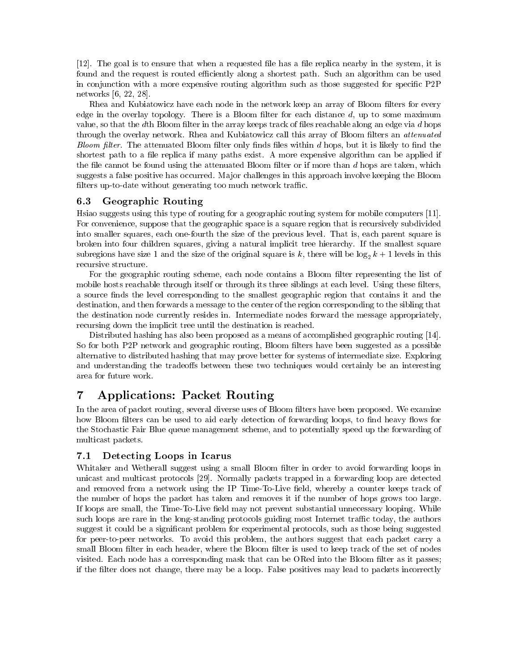[12]. The goal is to ensure that when a requested file has a file replica nearby in the system, it is found and the request is routed efficiently along a shortest path. Such an algorithm can be used in conjunction with a more expensive routing algorithm such as those suggested for specific P2P networks [6, 22, 28].

Rhea and Kubiatowicz have each node in the network keep an array of Bloom filters for every edge in the overlay topology. There is a Bloom filter for each distance  $d$ , up to some maximum value, so that the dth Bloom filter in the array keeps track of files reachable along an edge via  $d$  hops through the overlay network. Rhea and Kubiatowicz call this array of Bloom filters an *attenuated* Bloom filter. The attenuated Bloom filter only finds files within  $d$  hops, but it is likely to find the shortest path to a file replica if many paths exist. A more expensive algorithm can be applied if the file cannot be found using the attenuated Bloom filter or if more than  $d$  hops are taken, which suggests a false positive has occurred. Major challenges in this approach involve keeping the Bloom filters up-to-date without generating too much network traffic.

## 6.3 Geographic Routing

Hsiao suggests using this type of routing for a geographic routing system for mobile computers [11]. For convenience, suppose that the geographic space is a square region that is recursively subdivided into smaller squares, each one-fourth the size of the previous level. That is, each parent square is broken into four children squares, giving a natural implicit tree hierarchy. If the smallest square subregions have size 1 and the size of the original square is k, there will be  $\log_2 k + 1$  levels in this recursive structure.

For the geographic routing scheme, each node contains a Bloom filter representing the list of mobile hosts reachable through itself or through its three siblings at each level. Using these filters, a source finds the level corresponding to the smallest geographic region that contains it and the destination, and then forwards a message to the center of the region corresponding to the sibling that the destination node currently resides in. Intermediate nodes forward the message appropriately, recursing down the implicit tree until the destination is reached.

Distributed hashing has also been proposed as a means of accomplished geographic routing [14]. So for both P2P network and geographic routing, Bloom filters have been suggested as a possible alternative to distributed hashing that may prove better for systems of intermediate size. Exploring and understanding the tradeoffs between these two techniques would certainly be an interesting area for future work.

### 7 Applications: Packet Routing 7

In the area of packet routing, several diverse uses of Bloom filters have been proposed. We examine how Bloom filters can be used to aid early detection of forwarding loops, to find heavy flows for the Stochastic Fair Blue queue management scheme, and to potentially speed up the forwarding of multicast packets.

# 7.1 Detecting Loops in Icarus

Whitaker and Wetherall suggest using a small Bloom filter in order to avoid forwarding loops in unicast and multicast protocols [29]. Normally packets trapped in a forwarding loop are detected and removed from a network using the IP Time-To-Live field, whereby a counter keeps track of the number of hops the packet has taken and removes it if the number of hops grows too large. If loops are small, the Time-To-Live field may not prevent substantial unnecessary looping. While such loops are rare in the long-standing protocols guiding most Internet traffic today, the authors suggest it could be a signicant problem for experimental protocols, such as those being suggested for peer-to-peer networks. To avoid this problem, the authors suggest that each packet carry a small Bloom filter in each header, where the Bloom filter is used to keep track of the set of nodes visited. Each node has a corresponding mask that can be ORed into the Bloom filter as it passes; if the filter does not change, there may be a loop. False positives may lead to packets incorrectly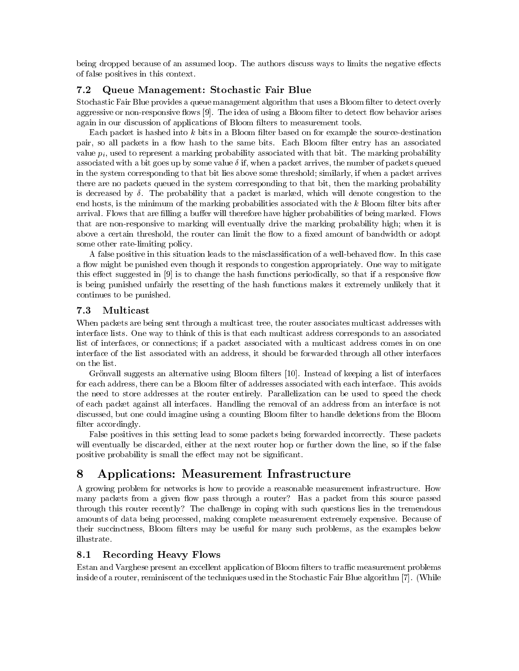being dropped because of an assumed loop. The authors discuss ways to limits the negative effects of false positives in this context.

## 7.2 Queue Management: Stochastic Fair Blue

Stochastic Fair Blue provides a queue management algorithm that uses a Bloom filter to detect overly aggressive or non-responsive flows [9]. The idea of using a Bloom filter to detect flow behavior arises again in our discussion of applications of Bloom filters to measurement tools.

Each packet is hashed into  $k$  bits in a Bloom filter based on for example the source-destination pair, so all packets in a flow hash to the same bits. Each Bloom filter entry has an associated value  $p_i$ , used to represent a marking probability associated with that bit. The marking probability associated with a bit goes up by some value  $\delta$  if, when a packet arrives, the number of packets queued in the system corresponding to that bit lies above some threshold; similarly, if when a packet arrives there are no packets queued in the system corresponding to that bit, then the marking probability is decreased by  $\delta$ . The probability that a packet is marked, which will denote congestion to the end hosts, is the minimum of the marking probabilities associated with the  $k$  Bloom filter bits after arrival. Flows that are filling a buffer will therefore have higher probabilities of being marked. Flows that are non-responsive to marking will eventually drive the marking probability high; when it is above a certain threshold, the router can limit the flow to a fixed amount of bandwidth or adopt some other rate-limiting policy.

A false positive in this situation leads to the misclassification of a well-behaved flow. In this case a flow might be punished even though it responds to congestion appropriately. One way to mitigate this effect suggested in  $[9]$  is to change the hash functions periodically, so that if a responsive flow is being punished unfairly the resetting of the hash functions makes it extremely unlikely that it continues to be punished.

### $7.3$  $\operatorname{Multicast}$

When packets are being sent through a multicast tree, the router associates multicast addresses with interface lists. One way to think of this is that each multicast address corresponds to an associated list of interfaces, or connections; if a packet associated with a multicast address comes in on one interface of the list associated with an address, it should be forwarded through all other interfaces on the list.

Grönvall suggests an alternative using Bloom filters [10]. Instead of keeping a list of interfaces for each address, there can be a Bloom filter of addresses associated with each interface. This avoids the need to store addresses at the router entirely. Parallelization can be used to speed the check of each packet against all interfaces. Handling the removal of an address from an interface is not discussed, but one could imagine using a counting Bloom filter to handle deletions from the Bloom filter accordingly.

False positives in this setting lead to some packets being forwarded incorrectly. These packets will eventually be discarded, either at the next router hop or further down the line, so if the false positive probability is small the effect may not be significant.

# 8 Applications: Measurement Infrastructure

A growing problem for networks is how to provide a reasonable measurement infrastructure. How many packets from a given flow pass through a router? Has a packet from this source passed through this router recently? The challenge in coping with such questions lies in the tremendous amounts of data being processed, making complete measurement extremely expensive. Because of their succinctness, Bloom filters may be useful for many such problems, as the examples below illustrate.

### 8.1 **Recording Heavy Flows**

Estan and Varghese present an excellent application of Bloom filters to traffic measurement problems inside of a router, reminiscent of the techniques used in the Stochastic Fair Blue algorithm [7]. (While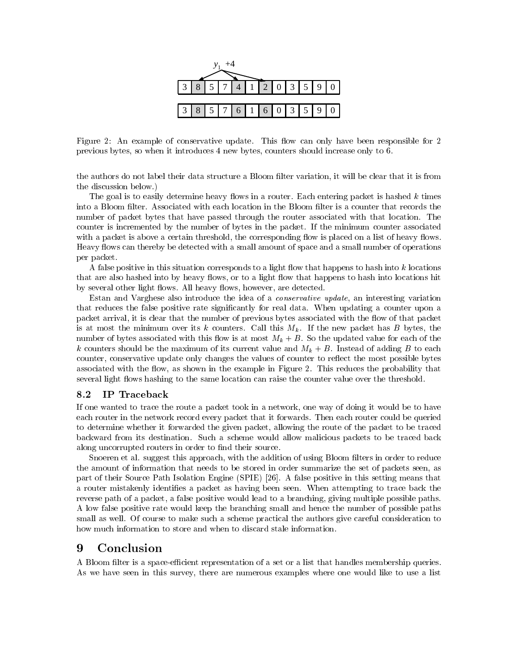

Figure 2: An example of conservative update. This flow can only have been responsible for 2 previous bytes, so when it introduces 4 new bytes, counters should increase only to 6.

the authors do not label their data structure a Bloom filter variation, it will be clear that it is from the discussion below.)

The goal is to easily determine heavy flows in a router. Each entering packet is hashed  $k$  times into a Bloom filter. Associated with each location in the Bloom filter is a counter that records the number of packet bytes that have passed through the router associated with that location. The counter is incremented by the number of bytes in the packet. If the minimum counter associated with a packet is above a certain threshold, the corresponding flow is placed on a list of heavy flows. Heavy flows can thereby be detected with a small amount of space and a small number of operations per packet.

A false positive in this situation corresponds to a light flow that happens to hash into  $k$  locations that are also hashed into by heavy flows, or to a light flow that happens to hash into locations hit by several other light flows. All heavy flows, however, are detected.

Estan and Varghese also introduce the idea of a conservative update, an interesting variation that reduces the false positive rate signicantly for real data. When updating a counter upon a packet arrival, it is clear that the number of previous bytes associated with the flow of that packet is at most the minimum over its k counters. Call this  $M_k$ . If the new packet has B bytes, the number of bytes associated with this flow is at most  $M_k + B$ . So the updated value for each of the k counters should be the maximum of its current value and  $M_k + B$ . Instead of adding B to each counter, conservative update only changes the values of counter to reflect the most possible bytes associated with the flow, as shown in the example in Figure 2. This reduces the probability that several light flows hashing to the same location can raise the counter value over the threshold.

#### IP Traceback 8.2

If one wanted to trace the route a packet took in a network, one way of doing it would be to have each router in the network record every packet that it forwards. Then each router could be queried to determine whether it forwarded the given packet, allowing the route of the packet to be traced backward from its destination. Such a scheme would allow malicious packets to be traced back along uncorrupted routers in order to find their source.

Snoeren et al. suggest this approach, with the addition of using Bloom filters in order to reduce the amount of information that needs to be stored in order summarize the set of packets seen, as part of their Source Path Isolation Engine (SPIE) [26]. A false positive in this setting means that a router mistakenly identies a packet as having been seen. When attempting to trace back the reverse path of a packet, a false positive would lead to a branching, giving multiple possible paths. A low false positive rate would keep the branching small and hence the number of possible paths small as well. Of course to make such a scheme practical the authors give careful consideration to how much information to store and when to discard stale information.

### 9 **Conclusion**

A Bloom filter is a space-efficient representation of a set or a list that handles membership queries. As we have seen in this survey, there are numerous examples where one would like to use a list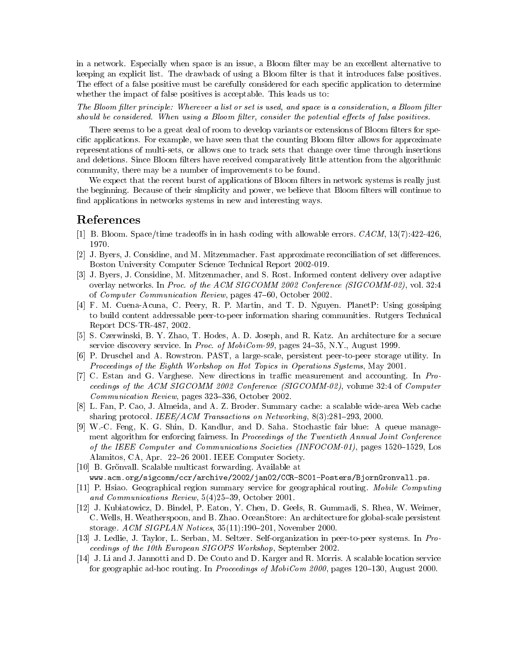in a network. Especially when space is an issue, a Bloom filter may be an excellent alternative to keeping an explicit list. The drawback of using a Bloom filter is that it introduces false positives. The effect of a false positive must be carefully considered for each specific application to determine whether the impact of false positives is acceptable. This leads us to:

The Bloom filter principle: Wherever a list or set is used, and space is a consideration, a Bloom filter should be considered. When using a Bloom filter, consider the potential effects of false positives.

There seems to be a great deal of room to develop variants or extensions of Bloom filters for specific applications. For example, we have seen that the counting Bloom filter allows for approximate representations of multi-sets, or allows one to track sets that change over time through insertions and deletions. Since Bloom filters have received comparatively little attention from the algorithmic community, there may be a number of improvements to be found.

We expect that the recent burst of applications of Bloom filters in network systems is really just the beginning. Because of their simplicity and power, we believe that Bloom filters will continue to find applications in networks systems in new and interesting ways.

# References

- [1] B. Bloom. Space/time tradeoffs in in hash coding with allowable errors.  $CACM$ , 13(7):422-426, 1970.
- [2] J. Byers, J. Considine, and M. Mitzenmacher. Fast approximate reconciliation of set differences. Boston University Computer Science Technical Report 2002-019.
- [3] J. Byers, J. Considine, M. Mitzenmacher, and S. Rost. Informed content delivery over adaptive overlay networks. In Proc. of the ACM SIGCOMM 2002 Conference (SIGCOMM-02), vol. 32:4 of *Computer Communication Review*, pages 47–60, October 2002.
- [4] F. M. Cuena-Acuna, C. Peery, R. P. Martin, and T. D. Nguyen. PlanetP: Using gossiping to build content addressable peer-to-peer information sharing communities. Rutgers Technical Report DCS-TR-487, 2002.
- [5] S. Czerwinski, B. Y. Zhao, T. Hodes, A. D. Joseph, and R. Katz. An architecture for a secure service discovery service. In Proc. of MobiCom-99, pages  $24-35$ , N.Y., August 1999.
- [6] P. Druschel and A. Rowstron. PAST, a large-scale, persistent peer-to-peer storage utility. In Proceedings of the Eighth Workshop on Hot Topics in Operations Systems, May 2001.
- [7] C. Estan and G. Varghese. New directions in traffic measurement and accounting. In Proceedings of the ACM SIGCOMM 2002 Conference (SIGCOMM-02), volume 32:4 of Computer Communication Review, pages 323-336, October 2002.
- [8] L. Fan, P. Cao, J. Almeida, and A. Z. Broder. Summary cache: a scalable wide-area Web cache sharing protocol. IEEE/ACM Transactions on Networking,  $8(3):281{-}293, 2000$ .
- [9] W.-C. Feng, K. G. Shin, D. Kandlur, and D. Saha. Stochastic fair blue: A queue management algorithm for enforcing fairness. In Proceedings of the Twentieth Annual Joint Conference of the IEEE Computer and Communications Societies (INFOCOM-01), pages 1520–1529, Los Alamitos, CA, Apr. 22-26 2001. IEEE Computer Society.
- [10] B. Grönvall. Scalable multicast forwarding. Available at www.acm.org/sigcomm/ccr/archive/2002/jan02/CCR-SC01-Posters/BjornGronvall.ps.
- [11] P. Hsiao. Geographical region summary service for geographical routing. Mobile Computing
- and Communications Review,  $5(4)25-39$ , October 2001.
- [12] J. Kubiatowicz, D. Bindel, P. Eaton, Y. Chen, D. Geels, R. Gummadi, S. Rhea, W. Weimer, C. Wells, H. Weatherspoon, and B. Zhao. OceanStore: An architecture for global-scale persistent storage. ACM SIGPLAN Notices,  $35(11):190-201$ , November 2000.
- [13] J. Ledlie, J. Taylor, L. Serban, M. Seltzer. Self-organization in peer-to-peer systems. In Proceedings of the 10th European SIGOPS Workshop, September 2002.
- [14] J. Li and J. Jannotti and D. De Couto and D. Karger and R. Morris. A scalable location service for geographic ad-hoc routing. In Proceedings of MobiCom 2000, pages  $120-130$ , August 2000.